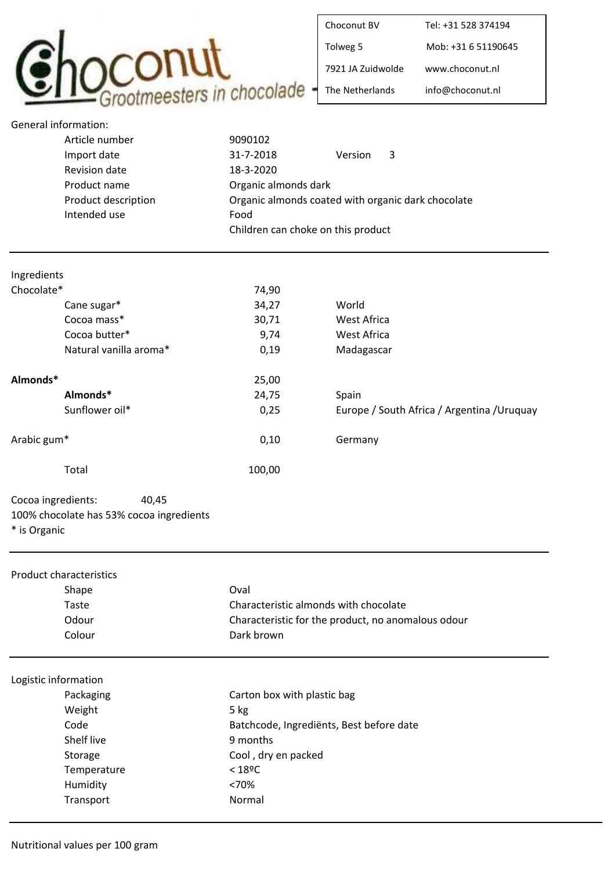

| Choconut BV       | Tel: +31 528 374194 |
|-------------------|---------------------|
| Tolweg 5          | Mob: +31 6 51190645 |
| 7921 JA Zuidwolde | www.choconut.nl     |
| The Netherlands   | info@choconut.nl    |

| General information: |                                                    |         |   |
|----------------------|----------------------------------------------------|---------|---|
| Article number       | 9090102                                            |         |   |
| Import date          | 31-7-2018                                          | Version | 3 |
| Revision date        | 18-3-2020                                          |         |   |
| Product name         | Organic almonds dark                               |         |   |
| Product description  | Organic almonds coated with organic dark chocolate |         |   |
| Intended use         | Food                                               |         |   |
|                      | Children can choke on this product                 |         |   |
|                      |                                                    |         |   |

| Ingredients |                        |        |                                             |
|-------------|------------------------|--------|---------------------------------------------|
| Chocolate*  |                        | 74,90  |                                             |
|             | Cane sugar*            | 34,27  | World                                       |
|             | Cocoa mass*            | 30,71  | West Africa                                 |
|             | Cocoa butter*          | 9,74   | West Africa                                 |
|             | Natural vanilla aroma* | 0,19   | Madagascar                                  |
| Almonds*    |                        | 25,00  |                                             |
|             | Almonds*               | 24,75  | Spain                                       |
|             | Sunflower oil*         | 0,25   | Europe / South Africa / Argentina / Uruquay |
| Arabic gum* |                        | 0,10   | Germany                                     |
|             | Total                  | 100,00 |                                             |

Cocoa ingredients: 40,45 100% chocolate has 53% cocoa ingredients

\* is Organic

| <b>Product characteristics</b> |                                                    |  |  |
|--------------------------------|----------------------------------------------------|--|--|
| Shape                          | Oval                                               |  |  |
| Taste                          | Characteristic almonds with chocolate              |  |  |
| Odour                          | Characteristic for the product, no anomalous odour |  |  |
| Colour                         | Dark brown                                         |  |  |
| Logistic information           |                                                    |  |  |
| Packaging                      | Carton box with plastic bag                        |  |  |
| Weight                         | 5 kg                                               |  |  |
| Code                           | Batchcode, Ingrediënts, Best before date           |  |  |
| Shelf live                     | 9 months                                           |  |  |
| Storage                        | Cool, dry en packed                                |  |  |
| Temperature                    | $< 18$ <sup>o</sup> C                              |  |  |
| Humidity                       | < 70%                                              |  |  |
| Transport                      | Normal                                             |  |  |
|                                |                                                    |  |  |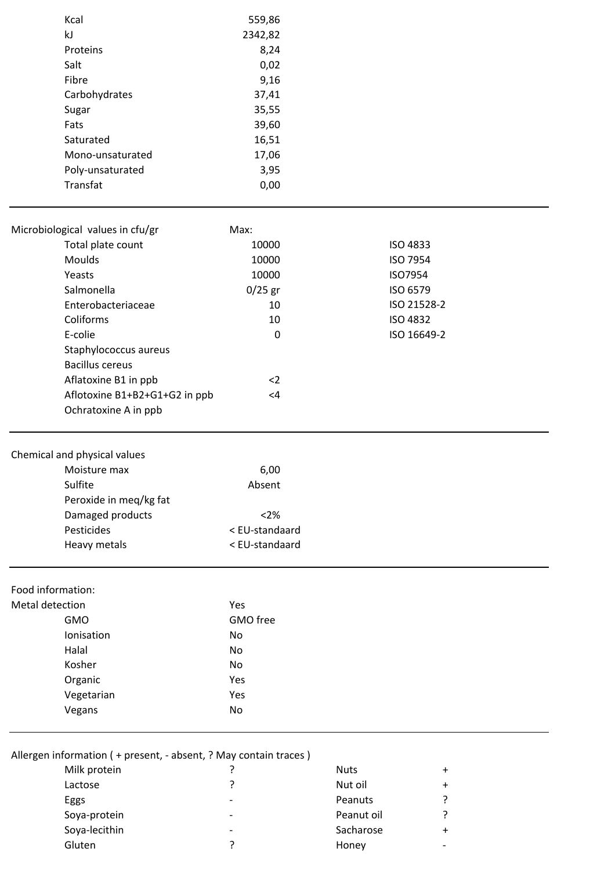|                 | Kcal                                                                               | 559,86         |             |                        |  |
|-----------------|------------------------------------------------------------------------------------|----------------|-------------|------------------------|--|
|                 | kJ                                                                                 | 2342,82        |             |                        |  |
|                 | Proteins                                                                           | 8,24           |             |                        |  |
|                 | Salt                                                                               | 0,02           |             |                        |  |
|                 | Fibre                                                                              | 9,16           |             |                        |  |
|                 | Carbohydrates                                                                      | 37,41          |             |                        |  |
|                 | Sugar                                                                              | 35,55          |             |                        |  |
|                 | Fats                                                                               | 39,60          |             |                        |  |
|                 | Saturated                                                                          | 16,51          |             |                        |  |
|                 | Mono-unsaturated                                                                   | 17,06          |             |                        |  |
|                 | Poly-unsaturated<br>Transfat                                                       | 3,95<br>0,00   |             |                        |  |
|                 |                                                                                    |                |             |                        |  |
|                 | Microbiological values in cfu/gr                                                   | Max:           |             |                        |  |
|                 | Total plate count                                                                  | 10000          |             | <b>ISO 4833</b>        |  |
|                 | Moulds                                                                             | 10000          |             | ISO 7954               |  |
|                 | Yeasts                                                                             | 10000          |             | ISO7954                |  |
|                 | Salmonella                                                                         | $0/25$ gr      |             | ISO 6579               |  |
|                 | Enterobacteriaceae                                                                 | 10             |             | ISO 21528-2            |  |
|                 | Coliforms                                                                          | 10             |             | <b>ISO 4832</b>        |  |
|                 | E-colie                                                                            | $\pmb{0}$      |             | ISO 16649-2            |  |
|                 | Staphylococcus aureus                                                              |                |             |                        |  |
|                 | <b>Bacillus cereus</b>                                                             |                |             |                        |  |
|                 | Aflatoxine B1 in ppb                                                               | $2$            |             |                        |  |
|                 | Aflotoxine B1+B2+G1+G2 in ppb                                                      | <4             |             |                        |  |
|                 | Ochratoxine A in ppb                                                               |                |             |                        |  |
|                 |                                                                                    |                |             |                        |  |
|                 | Chemical and physical values                                                       |                |             |                        |  |
|                 | Moisture max<br>Sulfite                                                            | 6,00<br>Absent |             |                        |  |
|                 | Peroxide in meq/kg fat                                                             |                |             |                        |  |
|                 | Damaged products                                                                   | < 2%           |             |                        |  |
|                 | Pesticides                                                                         | < EU-standaard |             |                        |  |
|                 | Heavy metals                                                                       | < EU-standaard |             |                        |  |
|                 |                                                                                    |                |             |                        |  |
|                 | Food information:                                                                  |                |             |                        |  |
| Metal detection |                                                                                    | Yes            |             |                        |  |
|                 | <b>GMO</b>                                                                         | GMO free       |             |                        |  |
|                 | Ionisation                                                                         | No             |             |                        |  |
|                 | Halal                                                                              | No             |             |                        |  |
|                 | Kosher                                                                             | No             |             |                        |  |
|                 | Organic                                                                            | Yes            |             |                        |  |
|                 | Vegetarian                                                                         | Yes            |             |                        |  |
|                 | Vegans                                                                             | No             |             |                        |  |
|                 |                                                                                    |                |             |                        |  |
|                 | Allergen information ( + present, - absent, ? May contain traces )<br>Milk protein | ?              | <b>Nuts</b> |                        |  |
|                 | Lactose                                                                            | ?              | Nut oil     | $\ddot{}$<br>$\ddot{}$ |  |
|                 |                                                                                    |                |             |                        |  |

| <b>IVIIIK PLOTEILI</b> |   | nuus       | Ŧ         |
|------------------------|---|------------|-----------|
| Lactose                |   | Nut oil    | $\ddot{}$ |
| Eggs                   | - | Peanuts    | ?         |
| Soya-protein           | ٠ | Peanut oil | ?         |
| Soya-lecithin          | - | Sacharose  | $\ddot{}$ |
| Gluten                 |   | Honey      |           |
|                        |   |            |           |